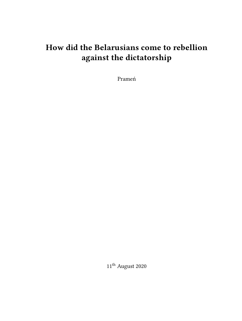# **How did the Belarusians come to rebellion against the dictatorship**

Prameń

 $11^{\rm th}$  August 2020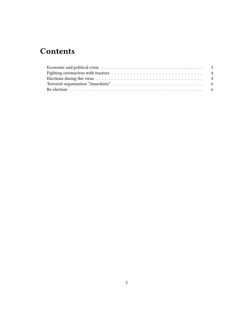## **Contents**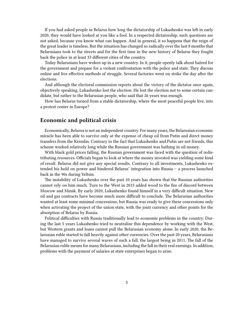If you had asked people in Belarus how long the dictatorship of Lukashenko was left in early 2020, they would have looked at you like a fool. In a respected dictatorship, such questions are not asked, because you know what can happen. And in general, it so happens that the reign of the great leader is timeless. But the situation has changed so radically over the last 8 months that Belarusians took to the streets and for the first time in the new history of Belarus they fought back the police in at least 33 different cities of the country.

Today Belarusians have woken up in a new country. In it, people openly talk about hatred for the government and prepare for a violent confrontation with the police and state. They discuss online and live effective methods of struggle. Several factories went on strike the day after the elections.

And although the electoral commission reports about the victory of the dictator once again, objectively speaking, Lukashenko lost the election. He lost the election not to some certain candidate, but rather to the Belarusian people, who said that 26 years was enough.

How has Belarus turned from a stable dictatorship, where the most peaceful people live, into a protest center in Europe?

#### <span id="page-2-0"></span>**Economic and political crisis**

Economically, Belarus is not an independent country. For many years, the Belarusian economic miracle has been able to survive only at the expense of cheap oil from Putin and direct money transfers from the Kremlin. Contrary to the fact that Lukashenko and Putin are not friends, this scheme worked relatively long while the Russian government was bathing in oil money.

With black gold prices falling, the Russian government was faced with the question of redistributing resources. Officials began to look at where the money invested was yielding some kind of result. Belarus did not give any special results. Contrary to all investments, Lukashenko extended his hold on power and hindered Belarus' integration into Russia – a process launched back in the 90s during Yeltsin.

The instability of Lukashenko over the past 10 years has shown that the Russian authorities cannot rely on him much. Turn to the West in 2015 added wood to the fire of discord between Moscow and Minsk. By early 2020, Lukashenko found himself in a very difficult situation. New oil and gas contracts have become much more difficult to conclude. The Belarusian authorities wanted at least some minimal concessions, but Russia was ready to give these concessions only when activating the project of the union state, with the joint currency and other points for the absorption of Belarus by Russia.

Political difficulties with Russia traditionally lead to economic problems in the country. During the last 5 years Lukashenko tried to neutralize this dependence by working with the West, but Western grants and loans cannot pull the Belarusian economy alone. In early 2020, the Belarusian ruble started to fall heavily against other currencies. Over the past 20 years, Belarusians have managed to survive several waves of such a fall, the largest being in 2011. The fall of the Belarusian ruble means for many Belarusians, including the fall in their real earnings. In addition, problems with the payment of salaries at state enterprises began to arise.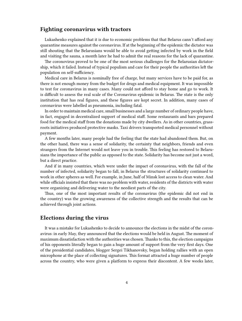#### <span id="page-3-0"></span>**Fighting coronavirus with tractors**

Lukashenko explained that it is due to economic problems that that Belarus cann't afford any quarantine measures against the coronavirus. If at the beginning of the epidemic the dictator was still shouting that the Belarusians would be able to avoid getting infected by work in the field and visiting the sauna, a month later he had to admit the real reasons for the lack of quarantine.

The coronovirus proved to be one of the most serious challenges for the Belarusian dictatorship, which it failed. Instead of typical populism and care for their people the authorities left the population on self-sufficiency.

Medical care in Belarus is nominally free of charge, but many services have to be paid for, as there is not enough money from the budget for drugs and medical equipment. It was impossible to test for coronavirus in many cases. Many could not afford to stay home and go to work. It is difficult to assess the real scale of the Coronavirus epidemic in Belarus. The state is the only institution that has real figures, and these figures are kept secret. In addition, many cases of coronavirus were labelled as pneumonia, including fatal.

In order to maintain medical care, small businesses and a large number of ordinary people have, in fact, engaged in decentralized support of medical staff. Some restaurants and bars prepared food for the medical staff from the donations made by city dwellers. As in other countries, grassroots initiatives produced protective masks. Taxi drivers transported medical personnel without payment.

A few months later, many people had the feeling that the state had abandoned them. But, on the other hand, there was a sense of solidarity, the certainty that neighbors, friends and even strangers from the Internet would not leave you in trouble. This feeling has restored to Belarusians the importance of the public as opposed to the state. Solidarity has become not just a word, but a direct practice.

And if in many countries, which were under the impact of coronavirus, with the fall of the number of infected, solidarity began to fall, in Belarus the structures of solidarity continued to work in other spheres as well. For example, in June, half of Minsk lost access to clean water. And while officials insisted that there was no problem with water, residents of the districts with water were organizing and delivering water to the neediest parts of the city.

Thus, one of the most important results of the coronavirus (the epidemic did not end in the country) was the growing awareness of the collective strength and the results that can be achieved through joint actions.

#### <span id="page-3-1"></span>**Elections during the virus**

It was a mistake for Lukashenko to decide to announce the elections in the midst of the coronavirus: in early May, they announced that the elections would be held in August. The moment of maximum dissatisfaction with the authorities was chosen. Thanks to this, the election campaigns of his opponents literally began to gain a huge amount of support from the very first days. One of the presidential candidates, blogger Sergei Tikhanovsky, began holding rallies with an open microphone at the place of collecting signatures. This format attracted a huge number of people across the country, who were given a platform to express their discontent. A few weeks later,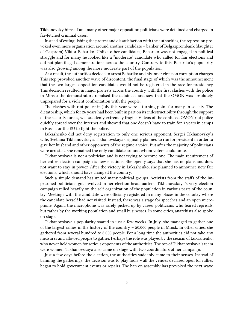Tikhanovsky himself and many other major opposition politicians were detained and charged in far-fetched criminal cases.

Instead of extinguishing the protest and dissatisfaction with the authorities, the repression provoked even more organization around another candidate – banker of Belgazprombank (daughter of Gazprom) Viktor Babariko. Unlike other candidates, Babariko was not engaged in political struggle and for many he looked like a "moderate" candidate who called for fair elections and did not plan illegal demonstrations across the country. Contrary to this, Babariko's popularity was also growing among the more moderate part of the population.

As a result, the authorities decided to arrest Babariko and his inner circle on corruption charges. This step provoked another wave of discontent, the final stage of which was the announcement that the two largest opposition candidates would not be registered in the race for presidency. This decision resulted in major protests across the country with the first clashes with the police in Minsk: the demonstrators repulsed the detainees and saw that the OMON was absolutely unprepared for a violent confrontation with the people.

The clashes with riot police in July this year were a turning point for many in society. The dictatorship, which for 26 years had been built in part on its indestructibility through the support of the security forces, was suddenly extremely fragile. Videos of the confused OMON riot police quickly spread over the Internet and showed that one doesn't have to train for 3 years in camps in Russia or the EU to fight the police.

Lukashenko did not deny registration to only one serious opponent, Sergei Tikhanovsky's wife, Svetlana Tikhanovskaya. Tikhanovskaya originally planned to run for president in order to give her husband and other opponents of the regime a voice. But after the majority of politicians were arrested, she remained the only candidate around whom voters could unite.

Tikhanovskaya is not a politician and is not trying to become one. The main requirement of her entire election campaign is new elections. She openly says that she has no plans and does not want to stay in power. After the victory in Lukashenko, she planned to announce new fair elections, which should have changed the country.

Such a simple demand has united many political groups. Activists from the staffs of the imprisoned politicians got involved in her election headquarters. Tikhanovskaya's very election campaign relied heavily on the self-organization of the population in various parts of the country. Meetings with the candidate were officially registered in many places in the country where the candidate herself had not visited. Instead, there was a stage for speeches and an open microphone. Again, the microphone was rarely picked up by career politicians who feared reprisals, but rather by the working population and small businesses. In some cities, anarchists also spoke on stage.

Tikhanovskaya's popularity soared in just a few weeks. In July, she managed to gather one of the largest rallies in the history of the country – 50,000 people in Minsk. In other cities, she gathered from several hundred to 8,000 people. For a long time the authorities did not take any measures and allowed people to gather. Perhaps the role was played by the sexism of Lukashenko, who never held women for serious opponents of the authorities. The top of Tikhanovskaya's team were women. Tikhanovskaya also came on stage with two coordinators of her campaign.

Just a few days before the election, the authorities suddenly came to their senses. Instead of banning the gatherings, the decision was to play fools – all the venues declared open for rallies began to hold government events or repairs. The ban on assembly has provoked the next wave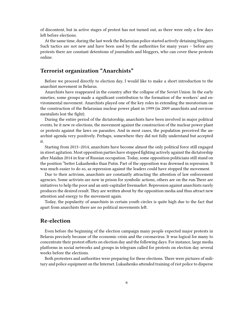of discontent, but in active stages of protest has not turned out, as there were only a few days left before elections.

At the same time, during the last week the Belarusian police started actively detaining bloggers. Such tactics are not new and have been used by the authorities for many years – before any protests there are constant detentions of journalists and bloggers, who can cover these protests online.

## <span id="page-5-0"></span>**Terrorist organization "Anarchists"**

Before we proceed directly to election day, I would like to make a short introduction to the anarchist movement in Belarus.

Anarchists have reappeared in the country after the collapse of the Soviet Union. In the early nineties, some groups made a significant contribution to the formation of the workers' and environmental movement. Anarchists played one of the key roles in extending the moratorium on the construction of the Belarusian nuclear power plant in 1999 (in 2009 anarchists and environmentalists lost the fight).

During the entire period of the dictatorship, anarchists have been involved in major political events, be it new re-elections, the movement against the construction of the nuclear power plant or protests against the laws on parasites. And in most cases, the population perceived the anarchist agenda very positively. Perhaps, somewhere they did not fully understand but accepted it.

Starting from 2013–2014, anarchists have become almost the only political force still engaged in street agitation. Most opposition parties have stopped fighting actively against the dictatorship after Maidan 2014 in fear of Russian occupation. Today, some opposition politicians still stand on the position "better Lukashenko than Putin. Part of the opposition was drowned in repression. It was much easier to do so, as repression against the leaders could have stopped the movement.

Due to their activism, anarchists are constantly attracting the attention of law enforcement agencies. Some activists are now in prison for symbolic actions, others are on the run.There are initiatives to help the poor and an anti-capitalist freemarket. Repression against anarchists rarely produces the desired result. They are written about by the opposition media and thus attract new attention and energy to the movement again.

Today, the popularity of anarchists in certain youth circles is quite high due to the fact that apart from anarchists there are no political movements left.

### <span id="page-5-1"></span>**Re-election**

Even before the beginning of the election campaign many people expected major protests in Belarus precisely because of the economic crisis and the coronavirus. It was logical for many to concentrate their protest efforts on election day and the following days. For instance, large media platforms in social networks and groups in telegram called for protests on election day several weeks before the elections.

Both protesters and authorities were preparing for these elections. There were pictures of military and police equipment on the Internet. Lukashenko attended training of riot police to disperse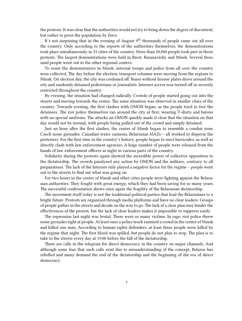the protests. It was clear that the authorities would not try to bring down the degree of discontent, but rather to press the population by force.

It's not surprising that in the evening of August  $9<sup>th</sup>$  thousands of people came out all over the country. Only according to the reports of the authorities themselves, the demonstrations took place simultaneously in 33 cities of the country. More than 50,000 people took part in those protests. The largest demonstrations were held in Brest, Baranavichy and Minsk. Several thousand people went out in the other regional centers.

To resist the demonstrators in Minsk, internal troops and police from all over the country were collected. The day before the election, transport columns were moving from the regions to Minsk. On election day, the city was cordoned off. Buses without license plates drove around the city and randomly detained pedestrians or journalists. Internet access was turned off or severely restricted throughout the country.

By evening, the situation had changed radically. Crowds of people started going out into the streets and moving towards the center. The same situation was observed in smaller cities of the country. Towards evening, the first clashes with OMON began, as the people tried to free the detainees. The riot police themselves ran around the city at first, wearing T-shirts and batons with no special uniforms. The attacks on OMON quickly made it clear that the situation on that day would not be normal, with people being pulled out of the crowd and simply detained.

Just an hour after the first clashes, the center of Minsk began to resemble a combat zone. Czech noise grenades, Canadian water cannons, Belarusian MAZs – all worked to disperse the protesters. For the first time in the country's history, people began to erect barricades, as well as directly clash with law enforcement agencies. A huge number of people were released from the hands of law enforcement officers at night in various parts of the country.

Solidarity during the protests again showed the incredible power of collective opposition to the dictatorship. The crowds paralyzed any action by OMON and the military, contrary to all preparations. The lack of the Internet only played a negative factor for the regime – people went out to the streets to find out what was going on.

For two hours in the center of Minsk and other cities people were fighting against the Belarusian authorities. They fought with great energy, which they had been saving for so many years. The successful confrontation shows once again the fragility of the Belarusian dictatorship.

The movement itself today is not the traditional political parties that lead the Belarusians to a bright future. Protests are organized through media platforms and have no clear leaders. Groups of people gather in the streets and decide on the way to go. The lack of a clear plan may hinder the effectiveness of the protest, but the lack of clear leaders makes it impossible to suppress easily.

The repression last night was brutal. There were so many victims. In rage, riot police threw noise grenades right at people. At least once a police truck rammed a crowd in the center of Minsk and killed one man. According to human rights defenders, at least three people were killed by the regime that night. The first blood was spilled, but people do not plan to stop. The plan is to take to the streets every day at 19:00 before the fall of the dictatorship.

There are calls in the telegram for direct democracy in the country on major channels. And although some fear that such calls exist due to misunderstanding of the concept, Belarus has rebelled and many demand the end of the dictatorship and the beginning of the era of direct democracy.